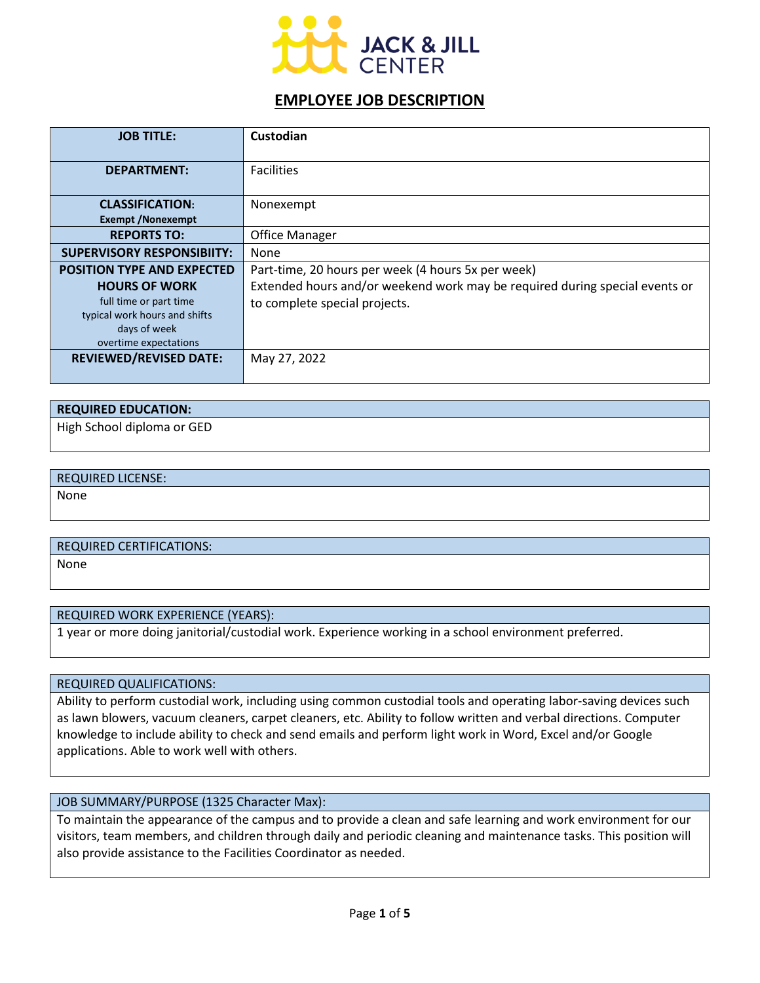

# **EMPLOYEE JOB DESCRIPTION**

| <b>JOB TITLE:</b>                 | Custodian                                                                   |
|-----------------------------------|-----------------------------------------------------------------------------|
|                                   |                                                                             |
| <b>DEPARTMENT:</b>                | <b>Facilities</b>                                                           |
|                                   |                                                                             |
| <b>CLASSIFICATION:</b>            | Nonexempt                                                                   |
| <b>Exempt /Nonexempt</b>          |                                                                             |
| <b>REPORTS TO:</b>                | <b>Office Manager</b>                                                       |
| <b>SUPERVISORY RESPONSIBIITY:</b> | None                                                                        |
| <b>POSITION TYPE AND EXPECTED</b> | Part-time, 20 hours per week (4 hours 5x per week)                          |
| <b>HOURS OF WORK</b>              | Extended hours and/or weekend work may be required during special events or |
| full time or part time            | to complete special projects.                                               |
| typical work hours and shifts     |                                                                             |
| days of week                      |                                                                             |
| overtime expectations             |                                                                             |
| <b>REVIEWED/REVISED DATE:</b>     | May 27, 2022                                                                |
|                                   |                                                                             |

| <b>REQUIRED EDUCATION:</b> |  |
|----------------------------|--|
| High School diploma or GED |  |

# REQUIRED LICENSE: None

### REQUIRED CERTIFICATIONS:

None

### REQUIRED WORK EXPERIENCE (YEARS):

1 year or more doing janitorial/custodial work. Experience working in a school environment preferred.

#### REQUIRED QUALIFICATIONS:

Ability to perform custodial work, including using common custodial tools and operating labor-saving devices such as lawn blowers, vacuum cleaners, carpet cleaners, etc. Ability to follow written and verbal directions. Computer knowledge to include ability to check and send emails and perform light work in Word, Excel and/or Google applications. Able to work well with others.

### JOB SUMMARY/PURPOSE (1325 Character Max):

To maintain the appearance of the campus and to provide a clean and safe learning and work environment for our visitors, team members, and children through daily and periodic cleaning and maintenance tasks. This position will also provide assistance to the Facilities Coordinator as needed.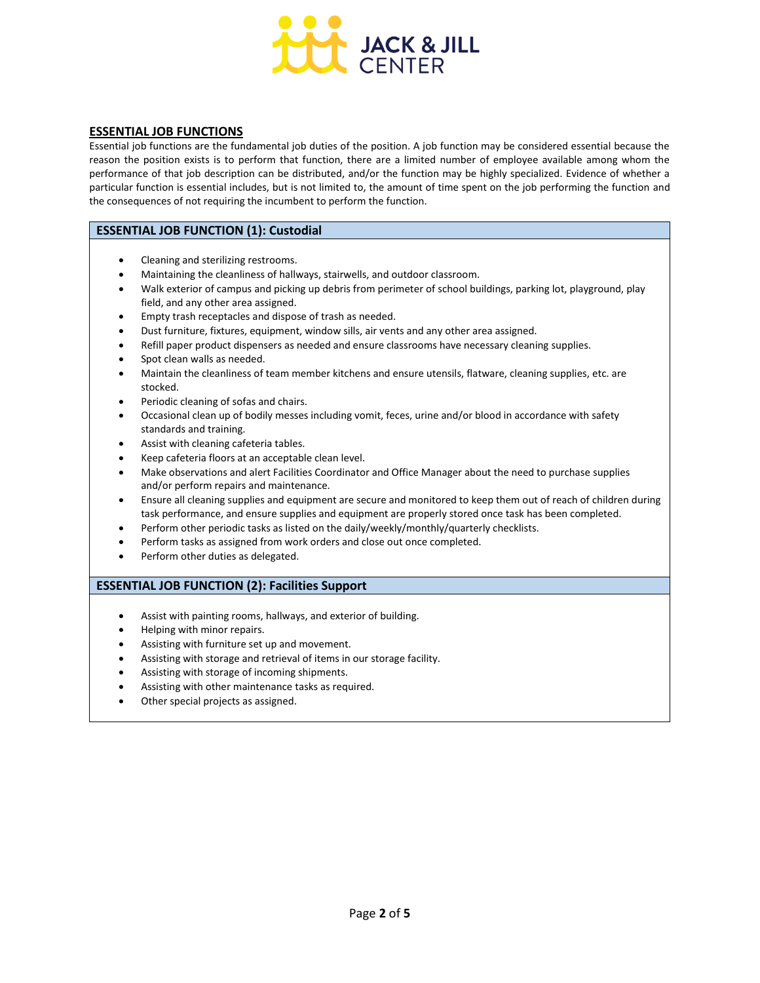

#### **ESSENTIAL JOB FUNCTIONS**

Essential job functions are the fundamental job duties of the position. A job function may be considered essential because the reason the position exists is to perform that function, there are a limited number of employee available among whom the performance of that job description can be distributed, and/or the function may be highly specialized. Evidence of whether a particular function is essential includes, but is not limited to, the amount of time spent on the job performing the function and the consequences of not requiring the incumbent to perform the function.

#### **ESSENTIAL JOB FUNCTION (1): Custodial**

- Cleaning and sterilizing restrooms.
- Maintaining the cleanliness of hallways, stairwells, and outdoor classroom.
- Walk exterior of campus and picking up debris from perimeter of school buildings, parking lot, playground, play field, and any other area assigned.
- Empty trash receptacles and dispose of trash as needed.
- Dust furniture, fixtures, equipment, window sills, air vents and any other area assigned.
- Refill paper product dispensers as needed and ensure classrooms have necessary cleaning supplies.
- Spot clean walls as needed.
- Maintain the cleanliness of team member kitchens and ensure utensils, flatware, cleaning supplies, etc. are stocked.
- Periodic cleaning of sofas and chairs.
- Occasional clean up of bodily messes including vomit, feces, urine and/or blood in accordance with safety standards and training.
- Assist with cleaning cafeteria tables.
- Keep cafeteria floors at an acceptable clean level.
- Make observations and alert Facilities Coordinator and Office Manager about the need to purchase supplies and/or perform repairs and maintenance.
- Ensure all cleaning supplies and equipment are secure and monitored to keep them out of reach of children during task performance, and ensure supplies and equipment are properly stored once task has been completed.
- Perform other periodic tasks as listed on the daily/weekly/monthly/quarterly checklists.
- Perform tasks as assigned from work orders and close out once completed.
- Perform other duties as delegated.

#### **ESSENTIAL JOB FUNCTION (2): Facilities Support**

- Assist with painting rooms, hallways, and exterior of building.
- Helping with minor repairs.
- Assisting with furniture set up and movement.
- Assisting with storage and retrieval of items in our storage facility.
- Assisting with storage of incoming shipments.
- Assisting with other maintenance tasks as required.
- Other special projects as assigned.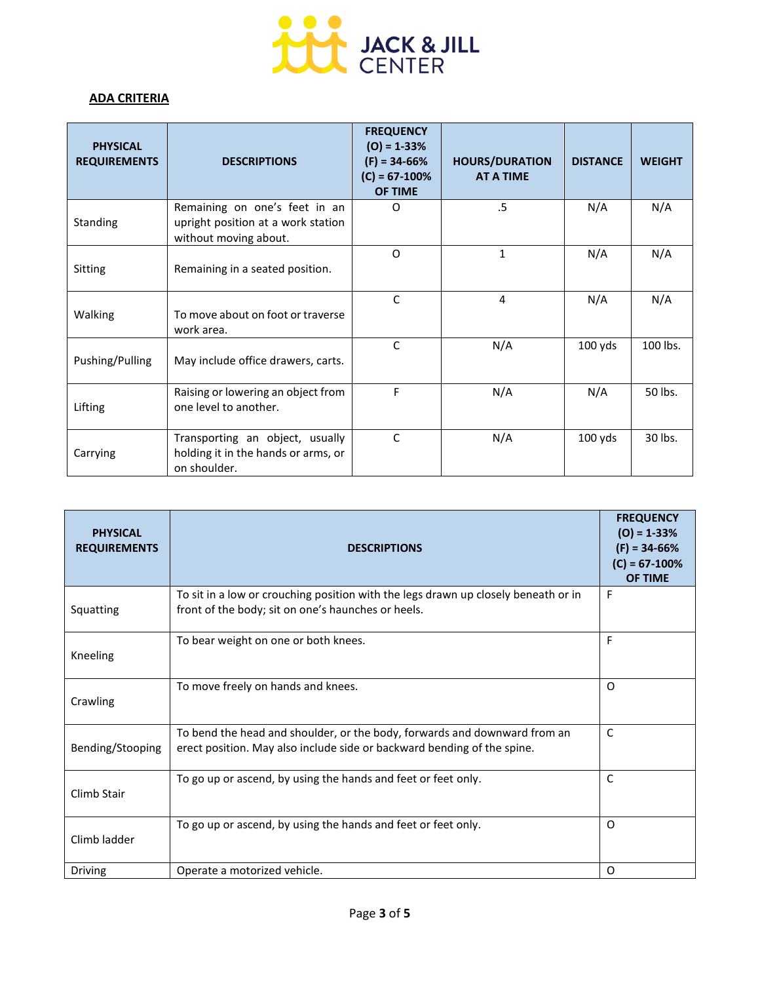

## **ADA CRITERIA**

| <b>PHYSICAL</b><br><b>REQUIREMENTS</b> | <b>DESCRIPTIONS</b>                                                                          | <b>FREQUENCY</b><br>$(O) = 1 - 33%$<br>$(F) = 34-66%$<br>$(C) = 67 - 100\%$<br>OF TIME | <b>HOURS/DURATION</b><br><b>AT A TIME</b> | <b>DISTANCE</b> | <b>WEIGHT</b> |
|----------------------------------------|----------------------------------------------------------------------------------------------|----------------------------------------------------------------------------------------|-------------------------------------------|-----------------|---------------|
| Standing                               | Remaining on one's feet in an<br>upright position at a work station<br>without moving about. | O                                                                                      | $.5\,$                                    | N/A             | N/A           |
| Sitting                                | Remaining in a seated position.                                                              | O                                                                                      | $\mathbf{1}$                              | N/A             | N/A           |
| Walking                                | To move about on foot or traverse<br>work area.                                              | $\mathsf{C}$                                                                           | 4                                         | N/A             | N/A           |
| Pushing/Pulling                        | May include office drawers, carts.                                                           | $\mathsf{C}$                                                                           | N/A                                       | $100$ yds       | 100 lbs.      |
| Lifting                                | Raising or lowering an object from<br>one level to another.                                  | F                                                                                      | N/A                                       | N/A             | 50 lbs.       |
| Carrying                               | Transporting an object, usually<br>holding it in the hands or arms, or<br>on shoulder.       | $\mathsf{C}$                                                                           | N/A                                       | $100$ yds       | 30 lbs.       |

| <b>PHYSICAL</b><br><b>REQUIREMENTS</b> | <b>DESCRIPTIONS</b>                                                                                                                                  | <b>FREQUENCY</b><br>$(O) = 1 - 33%$<br>$(F) = 34-66%$<br>$(C) = 67 - 100\%$<br><b>OF TIME</b> |
|----------------------------------------|------------------------------------------------------------------------------------------------------------------------------------------------------|-----------------------------------------------------------------------------------------------|
| Squatting                              | To sit in a low or crouching position with the legs drawn up closely beneath or in<br>front of the body; sit on one's haunches or heels.             | F                                                                                             |
| Kneeling                               | To bear weight on one or both knees.                                                                                                                 | F                                                                                             |
| Crawling                               | To move freely on hands and knees.                                                                                                                   | $\Omega$                                                                                      |
| Bending/Stooping                       | To bend the head and shoulder, or the body, forwards and downward from an<br>erect position. May also include side or backward bending of the spine. | C                                                                                             |
| Climb Stair                            | To go up or ascend, by using the hands and feet or feet only.                                                                                        | $\mathsf{C}$                                                                                  |
| Climb ladder                           | To go up or ascend, by using the hands and feet or feet only.                                                                                        | $\Omega$                                                                                      |
| Driving                                | Operate a motorized vehicle.                                                                                                                         | O                                                                                             |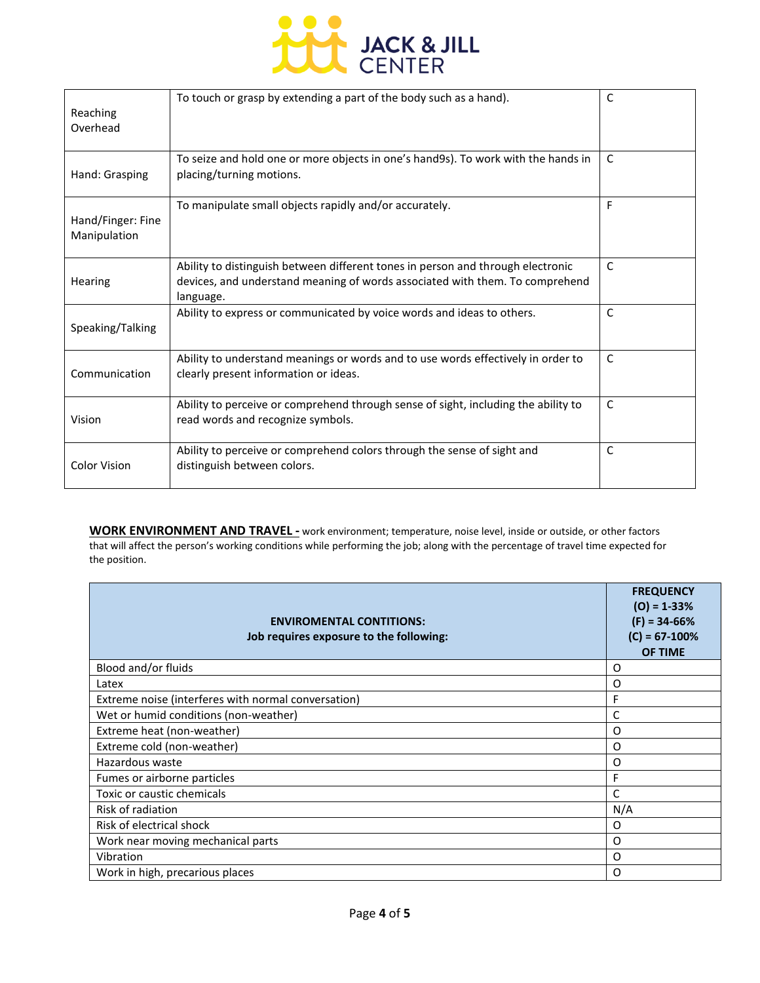

| Reaching<br>Overhead              | To touch or grasp by extending a part of the body such as a hand).                                                                                                           | $\mathsf{C}$ |
|-----------------------------------|------------------------------------------------------------------------------------------------------------------------------------------------------------------------------|--------------|
| Hand: Grasping                    | To seize and hold one or more objects in one's hand9s). To work with the hands in<br>placing/turning motions.                                                                | C            |
| Hand/Finger: Fine<br>Manipulation | To manipulate small objects rapidly and/or accurately.                                                                                                                       | F            |
| Hearing                           | Ability to distinguish between different tones in person and through electronic<br>devices, and understand meaning of words associated with them. To comprehend<br>language. | C            |
| Speaking/Talking                  | Ability to express or communicated by voice words and ideas to others.                                                                                                       | $\mathsf{C}$ |
| Communication                     | Ability to understand meanings or words and to use words effectively in order to<br>clearly present information or ideas.                                                    | $\mathsf{C}$ |
| Vision                            | Ability to perceive or comprehend through sense of sight, including the ability to<br>read words and recognize symbols.                                                      | $\mathsf{C}$ |
| <b>Color Vision</b>               | Ability to perceive or comprehend colors through the sense of sight and<br>distinguish between colors.                                                                       | $\mathsf{C}$ |

**WORK ENVIRONMENT AND TRAVEL -** work environment; temperature, noise level, inside or outside, or other factors that will affect the person's working conditions while performing the job; along with the percentage of travel time expected for the position.

| <b>ENVIROMENTAL CONTITIONS:</b><br>Job requires exposure to the following: | <b>FREQUENCY</b><br>$(O) = 1 - 33%$<br>$(F) = 34-66%$<br>$(C) = 67 - 100%$<br>OF TIME |
|----------------------------------------------------------------------------|---------------------------------------------------------------------------------------|
| Blood and/or fluids                                                        | O                                                                                     |
| Latex                                                                      | O                                                                                     |
| Extreme noise (interferes with normal conversation)                        | F                                                                                     |
| Wet or humid conditions (non-weather)                                      | C                                                                                     |
| Extreme heat (non-weather)                                                 | $\Omega$                                                                              |
| Extreme cold (non-weather)                                                 | O                                                                                     |
| Hazardous waste                                                            | O                                                                                     |
| Fumes or airborne particles                                                | F                                                                                     |
| Toxic or caustic chemicals                                                 | C                                                                                     |
| Risk of radiation                                                          | N/A                                                                                   |
| Risk of electrical shock                                                   | O                                                                                     |
| Work near moving mechanical parts                                          | $\Omega$                                                                              |
| Vibration                                                                  | O                                                                                     |
| Work in high, precarious places                                            | O                                                                                     |